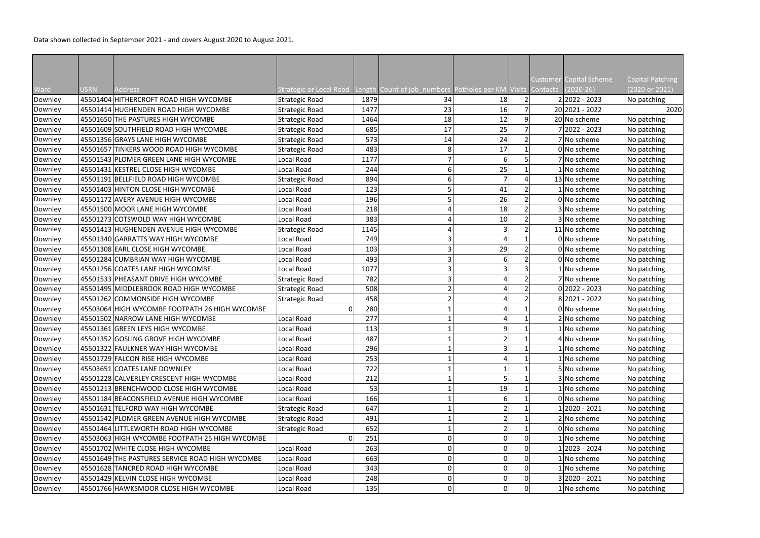Data shown collected in September 2021 - and covers August 2020 to August 2021.

|         |             |                                                 |                         |      |                                                             |                |  | Customer Capital Scheme | Capital Patching |
|---------|-------------|-------------------------------------------------|-------------------------|------|-------------------------------------------------------------|----------------|--|-------------------------|------------------|
| Ward    | <b>USRN</b> | <b>Address</b>                                  | Strategic or Local Road |      | Length Count of job numbers Potholes per KM Visits Contacts |                |  | $(2020-26)$             | (2020 or 2021)   |
| Downley |             | 45501404 HITHERCROFT ROAD HIGH WYCOMBE          | <b>Strategic Road</b>   | 1879 | 34                                                          | 18             |  | $2 2022 - 2023$         | No patching      |
| Downley |             | 45501414 HUGHENDEN ROAD HIGH WYCOMBE            | <b>Strategic Road</b>   | 1477 | 23                                                          | 16             |  | 20 2021 - 2022          | 2020             |
| Downley |             | 45501650 THE PASTURES HIGH WYCOMBE              | <b>Strategic Road</b>   | 1464 | 18                                                          | 12             |  | 20 No scheme            | No patching      |
| Downley |             | 45501609 SOUTHFIELD ROAD HIGH WYCOMBE           | <b>Strategic Road</b>   | 685  | 17                                                          | 25             |  | 7 2022 - 2023           | No patching      |
| Downley |             | 45501356 GRAYS LANE HIGH WYCOMBE                | <b>Strategic Road</b>   | 573  | 14                                                          | 24             |  | 7 No scheme             | No patching      |
| Downley |             | 45501657 TINKERS WOOD ROAD HIGH WYCOMBE         | Strategic Road          | 483  | 8                                                           | 17             |  | 0 No scheme             | No patching      |
| Downley |             | 45501543 PLOMER GREEN LANE HIGH WYCOMBE         | Local Road              | 1177 |                                                             |                |  | 7 No scheme             | No patching      |
| Downley |             | 45501431 KESTREL CLOSE HIGH WYCOMBE             | Local Road              | 244  | 6                                                           | 25             |  | 1 No scheme             | No patching      |
| Downley |             | 45501191 BELLFIELD ROAD HIGH WYCOMBE            | Strategic Road          | 894  | 6                                                           |                |  | 13 No scheme            | No patching      |
| Downley |             | 45501403 HINTON CLOSE HIGH WYCOMBE              | Local Road              | 123  |                                                             | 41             |  | 1 No scheme             | No patching      |
| Downley |             | 45501172 AVERY AVENUE HIGH WYCOMBE              | Local Road              | 196  |                                                             | 26             |  | 0 No scheme             | No patching      |
| Downley |             | 45501500 MOOR LANE HIGH WYCOMBE                 | Local Road              | 218  |                                                             | 18             |  | 3 No scheme             | No patching      |
| Downley |             | 45501273 COTSWOLD WAY HIGH WYCOMBE              | Local Road              | 383  |                                                             | 10             |  | 3 No scheme             | No patching      |
| Downley |             | 45501413 HUGHENDEN AVENUE HIGH WYCOMBE          | Strategic Road          | 1145 |                                                             | 3              |  | 11 No scheme            | No patching      |
| Downley |             | 45501340 GARRATTS WAY HIGH WYCOMBE              | Local Road              | 749  | 3                                                           |                |  | 0 No scheme             | No patching      |
| Downley |             | 45501308 EARL CLOSE HIGH WYCOMBE                | Local Road              | 103  | 3                                                           | 29             |  | 0 No scheme             | No patching      |
| Downley |             | 45501284 CUMBRIAN WAY HIGH WYCOMBE              | Local Road              | 493  |                                                             |                |  | 0 No scheme             | No patching      |
| Downley |             | 45501256 COATES LANE HIGH WYCOMBE               | Local Road              | 1077 |                                                             |                |  | 1 No scheme             | No patching      |
| Downley |             | 45501533 PHEASANT DRIVE HIGH WYCOMBE            | <b>Strategic Road</b>   | 782  | 3                                                           |                |  | 7 No scheme             | No patching      |
| Downley |             | 45501495 MIDDLEBROOK ROAD HIGH WYCOMBE          | Strategic Road          | 508  | $\overline{2}$                                              |                |  | 02022 - 2023            | No patching      |
| Downley |             | 45501262 COMMONSIDE HIGH WYCOMBE                | <b>Strategic Road</b>   | 458  | 2                                                           |                |  | 8 2021 - 2022           | No patching      |
| Downley |             | 45503064 HIGH WYCOMBE FOOTPATH 26 HIGH WYCOMBE  | $\Omega$                | 280  |                                                             |                |  | 0 No scheme             | No patching      |
| Downley |             | 45501502 NARROW LANE HIGH WYCOMBE               | Local Road              | 277  |                                                             |                |  | 2 No scheme             | No patching      |
| Downley |             | 45501361 GREEN LEYS HIGH WYCOMBE                | Local Road              | 113  |                                                             | q              |  | 1 No scheme             | No patching      |
| Downley |             | 45501352 GOSLING GROVE HIGH WYCOMBE             | Local Road              | 487  |                                                             |                |  | 4 No scheme             | No patching      |
| Downley |             | 45501322 FAULKNER WAY HIGH WYCOMBE              | Local Road              | 296  |                                                             | $\overline{3}$ |  | 1 No scheme             | No patching      |
| Downley |             | 45501729 FALCON RISE HIGH WYCOMBE               | Local Road              | 253  |                                                             |                |  | 1 No scheme             | No patching      |
| Downley |             | 45503651 COATES LANE DOWNLEY                    | Local Road              | 722  |                                                             |                |  | 5 No scheme             | No patching      |
| Downley |             | 45501228 CALVERLEY CRESCENT HIGH WYCOMBE        | Local Road              | 212  |                                                             |                |  | 3 No scheme             | No patching      |
| Downley |             | 45501213 BRENCHWOOD CLOSE HIGH WYCOMBE          | Local Road              | 53   |                                                             | 19             |  | 1 No scheme             | No patching      |
| Downley |             | 45501184 BEACONSFIELD AVENUE HIGH WYCOMBE       | Local Road              | 166  |                                                             |                |  | 0 No scheme             | No patching      |
| Downley |             | 45501631 TELFORD WAY HIGH WYCOMBE               | Strategic Road          | 647  |                                                             |                |  | 2020 - 2021             | No patching      |
| Downley |             | 45501542 PLOMER GREEN AVENUE HIGH WYCOMBE       | Strategic Road          | 491  |                                                             |                |  | 2 No scheme             | No patching      |
| Downley |             | 45501464 LITTLEWORTH ROAD HIGH WYCOMBE          | <b>Strategic Road</b>   | 652  |                                                             |                |  | 0 No scheme             | No patching      |
| Downley |             | 45503063 HIGH WYCOMBE FOOTPATH 25 HIGH WYCOMBE  | $\overline{0}$          | 251  | n                                                           |                |  | 1 No scheme             | No patching      |
| Downley |             | 45501702 WHITE CLOSE HIGH WYCOMBE               | Local Road              | 263  | 0                                                           |                |  | 1 2023 - 2024           | No patching      |
| Downley |             | 45501649 THE PASTURES SERVICE ROAD HIGH WYCOMBE | Local Road              | 663  | 0                                                           | $\mathbf{0}$   |  | 1 No scheme             | No patching      |
| Downley |             | 45501628 TANCRED ROAD HIGH WYCOMBE              | Local Road              | 343  | 0                                                           |                |  | 1 No scheme             | No patching      |
| Downley |             | 45501429 KELVIN CLOSE HIGH WYCOMBE              | Local Road              | 248  | 0                                                           |                |  | 3 2020 - 2021           | No patching      |
| Downley |             | 45501766 HAWKSMOOR CLOSE HIGH WYCOMBE           | Local Road              | 135  | 0                                                           |                |  | 1 No scheme             | No patching      |
|         |             |                                                 |                         |      |                                                             |                |  |                         |                  |